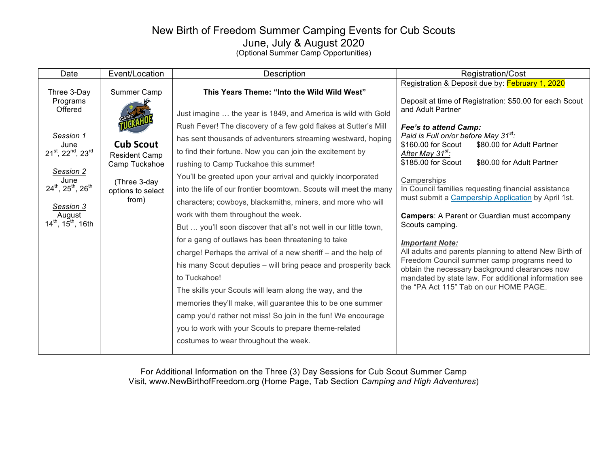## New Birth of Freedom Summer Camping Events for Cub Scouts June, July & August 2020

(Optional Summer Camp Opportunities)

| Date                                                                                                                    | Event/Location                                                                                          | Description                                                                                                                                                                                                                                                                                                                                                                                                                                                                                         | Registration/Cost                                                                                                                                                                                                                                                                                                                                                                                                           |
|-------------------------------------------------------------------------------------------------------------------------|---------------------------------------------------------------------------------------------------------|-----------------------------------------------------------------------------------------------------------------------------------------------------------------------------------------------------------------------------------------------------------------------------------------------------------------------------------------------------------------------------------------------------------------------------------------------------------------------------------------------------|-----------------------------------------------------------------------------------------------------------------------------------------------------------------------------------------------------------------------------------------------------------------------------------------------------------------------------------------------------------------------------------------------------------------------------|
| Three 3-Day                                                                                                             | Summer Camp                                                                                             | This Years Theme: "Into the Wild Wild West"                                                                                                                                                                                                                                                                                                                                                                                                                                                         | Registration & Deposit due by: February 1, 2020                                                                                                                                                                                                                                                                                                                                                                             |
| Programs<br>Offered<br>Session 1<br>June<br>21 <sup>st</sup> , 22 <sup>nd</sup> , 23 <sup>rd</sup><br>Session 2<br>June | <b>Cub Scout</b><br><b>Resident Camp</b><br>Camp Tuckahoe<br>(Three 3-day<br>options to select<br>from) | Just imagine  the year is 1849, and America is wild with Gold<br>Rush Fever! The discovery of a few gold flakes at Sutter's Mill<br>has sent thousands of adventurers streaming westward, hoping<br>to find their fortune. Now you can join the excitement by<br>rushing to Camp Tuckahoe this summer!<br>You'll be greeted upon your arrival and quickly incorporated                                                                                                                              | Deposit at time of Registration: \$50.00 for each Scout<br>and Adult Partner<br>Fee's to attend Camp:<br>Paid is Full on/or before May 31 <sup>st</sup> :<br>\$160.00 for Scout<br>\$80.00 for Adult Partner<br>After May 31 <sup>st</sup> :<br>\$185.00 for Scout<br>\$80.00 for Adult Partner<br>Camperships<br>In Council families requesting financial assistance<br>must submit a Campership Application by April 1st. |
| $24^{th}$ , $25^{th}$ , $26^{th}$<br>Session 3                                                                          |                                                                                                         | into the life of our frontier boomtown. Scouts will meet the many<br>characters; cowboys, blacksmiths, miners, and more who will                                                                                                                                                                                                                                                                                                                                                                    |                                                                                                                                                                                                                                                                                                                                                                                                                             |
| August<br>$14^{th}$ , $15^{th}$ , 16th                                                                                  |                                                                                                         | work with them throughout the week.<br>But  you'll soon discover that all's not well in our little town,                                                                                                                                                                                                                                                                                                                                                                                            | <b>Campers:</b> A Parent or Guardian must accompany<br>Scouts camping.                                                                                                                                                                                                                                                                                                                                                      |
|                                                                                                                         |                                                                                                         | for a gang of outlaws has been threatening to take<br>charge! Perhaps the arrival of a new sheriff - and the help of<br>his many Scout deputies – will bring peace and prosperity back<br>to Tuckahoe!<br>The skills your Scouts will learn along the way, and the<br>memories they'll make, will guarantee this to be one summer<br>camp you'd rather not miss! So join in the fun! We encourage<br>you to work with your Scouts to prepare theme-related<br>costumes to wear throughout the week. | <b>Important Note:</b><br>All adults and parents planning to attend New Birth of<br>Freedom Council summer camp programs need to<br>obtain the necessary background clearances now<br>mandated by state law. For additional information see<br>the "PA Act 115" Tab on our HOME PAGE.                                                                                                                                       |

For Additional Information on the Three (3) Day Sessions for Cub Scout Summer Camp Visit, www.NewBirthofFreedom.org (Home Page, Tab Section *Camping and High Adventures*)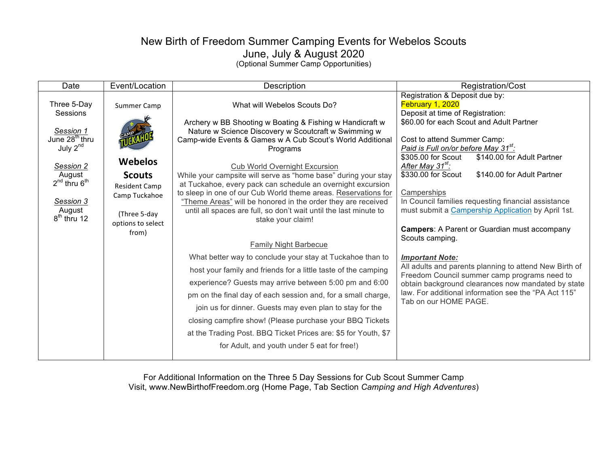## New Birth of Freedom Summer Camping Events for Webelos Scouts June, July & August 2020 (Optional Summer Camp Opportunities)

| Date                                                                                                                                                                                | Event/Location                                                                                                                        | Description                                                                                                                                                                                                                                                                                                                                                                                                                                                                                                                                                                                                                                                                                                                                                                                                                                                                                                                                                                                                                                                                                                                                                      | Registration/Cost                                                                                                                                                                                                                                                                                                                                                                                                                                                                                                                                                                                                                                                                                                                                                                                                                              |
|-------------------------------------------------------------------------------------------------------------------------------------------------------------------------------------|---------------------------------------------------------------------------------------------------------------------------------------|------------------------------------------------------------------------------------------------------------------------------------------------------------------------------------------------------------------------------------------------------------------------------------------------------------------------------------------------------------------------------------------------------------------------------------------------------------------------------------------------------------------------------------------------------------------------------------------------------------------------------------------------------------------------------------------------------------------------------------------------------------------------------------------------------------------------------------------------------------------------------------------------------------------------------------------------------------------------------------------------------------------------------------------------------------------------------------------------------------------------------------------------------------------|------------------------------------------------------------------------------------------------------------------------------------------------------------------------------------------------------------------------------------------------------------------------------------------------------------------------------------------------------------------------------------------------------------------------------------------------------------------------------------------------------------------------------------------------------------------------------------------------------------------------------------------------------------------------------------------------------------------------------------------------------------------------------------------------------------------------------------------------|
| Three 5-Day<br>Sessions<br>Session 1<br>June 28 <sup>th</sup> thru<br>July 2 <sup>nd</sup><br>Session 2<br>August<br>$2^{nd}$ thru $6^{th}$<br>Session 3<br>August<br>$8th$ thru 12 | Summer Camp<br><b>Webelos</b><br><b>Scouts</b><br><b>Resident Camp</b><br>Camp Tuckahoe<br>(Three 5-day<br>options to select<br>from) | What will Webelos Scouts Do?<br>Archery w BB Shooting w Boating & Fishing w Handicraft w<br>Nature w Science Discovery w Scoutcraft w Swimming w<br>Camp-wide Events & Games w A Cub Scout's World Additional<br>Programs<br><b>Cub World Overnight Excursion</b><br>While your campsite will serve as "home base" during your stay<br>at Tuckahoe, every pack can schedule an overnight excursion<br>to sleep in one of our Cub World theme areas. Reservations for<br>"Theme Areas" will be honored in the order they are received<br>until all spaces are full, so don't wait until the last minute to<br>stake your claim!<br><b>Family Night Barbecue</b><br>What better way to conclude your stay at Tuckahoe than to<br>host your family and friends for a little taste of the camping<br>experience? Guests may arrive between 5:00 pm and 6:00<br>pm on the final day of each session and, for a small charge,<br>join us for dinner. Guests may even plan to stay for the<br>closing campfire show! (Please purchase your BBQ Tickets<br>at the Trading Post. BBQ Ticket Prices are: \$5 for Youth, \$7<br>for Adult, and youth under 5 eat for free!) | Registration & Deposit due by:<br>February 1, 2020<br>Deposit at time of Registration:<br>\$60.00 for each Scout and Adult Partner<br>Cost to attend Summer Camp:<br>Paid is Full on/or before May 31 <sup>st</sup> :<br>\$305.00 for Scout<br>\$140.00 for Adult Partner<br>After May 31 <sup>st</sup> :<br>\$330.00 for Scout<br>\$140.00 for Adult Partner<br>Camperships<br>In Council families requesting financial assistance<br>must submit a Campership Application by April 1st.<br><b>Campers:</b> A Parent or Guardian must accompany<br>Scouts camping.<br><b>Important Note:</b><br>All adults and parents planning to attend New Birth of<br>Freedom Council summer camp programs need to<br>obtain background clearances now mandated by state<br>law. For additional information see the "PA Act 115"<br>Tab on our HOME PAGE. |
|                                                                                                                                                                                     |                                                                                                                                       |                                                                                                                                                                                                                                                                                                                                                                                                                                                                                                                                                                                                                                                                                                                                                                                                                                                                                                                                                                                                                                                                                                                                                                  |                                                                                                                                                                                                                                                                                                                                                                                                                                                                                                                                                                                                                                                                                                                                                                                                                                                |

For Additional Information on the Three 5 Day Sessions for Cub Scout Summer Camp Visit, www.NewBirthofFreedom.org (Home Page, Tab Section *Camping and High Adventures*)